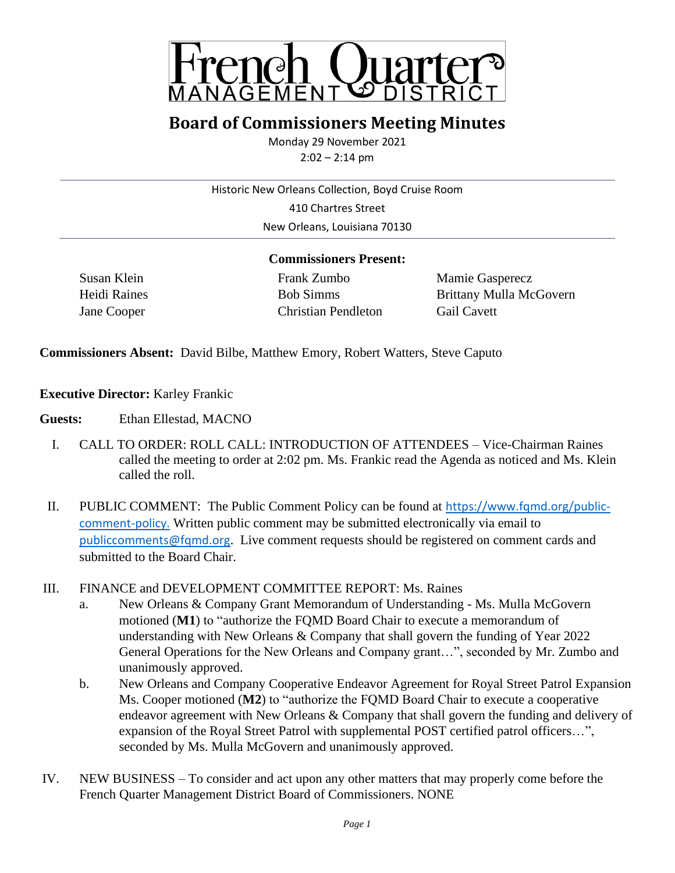

## **Board of Commissioners Meeting Minutes**

Monday 29 November 2021 2:02 – 2:14 pm

Historic New Orleans Collection, Boyd Cruise Room

410 Chartres Street New Orleans, Louisiana 70130

## **Commissioners Present:**

Susan Klein Frank Zumbo Mamie Gasperecz Jane Cooper Christian Pendleton Gail Cavett

Heidi Raines Bob Simms Bob Simms Brittany Mulla McGovern

**Commissioners Absent:** David Bilbe, Matthew Emory, Robert Watters, Steve Caputo

**Executive Director:** Karley Frankic

**Guests:** Ethan Ellestad, MACNO

- I. CALL TO ORDER: ROLL CALL: INTRODUCTION OF ATTENDEES Vice-Chairman Raines called the meeting to order at 2:02 pm. Ms. Frankic read the Agenda as noticed and Ms. Klein called the roll.
- II. PUBLIC COMMENT: The Public Comment Policy can be found at [https://www.fqmd.org/public](https://www.fqmd.org/public-comment-policy)[comment-policy.](https://www.fqmd.org/public-comment-policy) Written public comment may be submitted electronically via email to [publiccomments@fqmd.org](mailto:publiccomments@fqmd.org). Live comment requests should be registered on comment cards and submitted to the Board Chair.
- III. FINANCE and DEVELOPMENT COMMITTEE REPORT: Ms. Raines
	- a. New Orleans & Company Grant Memorandum of Understanding Ms. Mulla McGovern motioned (**M1**) to "authorize the FQMD Board Chair to execute a memorandum of understanding with New Orleans & Company that shall govern the funding of Year 2022 General Operations for the New Orleans and Company grant…", seconded by Mr. Zumbo and unanimously approved.
	- b. New Orleans and Company Cooperative Endeavor Agreement for Royal Street Patrol Expansion Ms. Cooper motioned (**M2**) to "authorize the FQMD Board Chair to execute a cooperative endeavor agreement with New Orleans & Company that shall govern the funding and delivery of expansion of the Royal Street Patrol with supplemental POST certified patrol officers…", seconded by Ms. Mulla McGovern and unanimously approved.
- IV. NEW BUSINESS To consider and act upon any other matters that may properly come before the French Quarter Management District Board of Commissioners. NONE